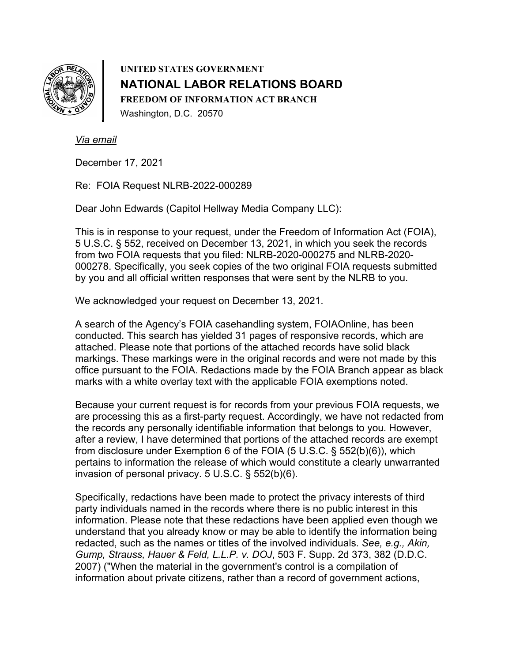

**UNITED STATES GOVERNMENT NATIONAL LABOR RELATIONS BOARD FREEDOM OF INFORMATION ACT BRANCH**  Washington, D.C. 20570

*Via email*

December 17, 2021

Re: FOIA Request NLRB-2022-000289

Dear John Edwards (Capitol Hellway Media Company LLC):

This is in response to your request, under the Freedom of Information Act (FOIA), 5 U.S.C. § 552, received on December 13, 2021, in which you seek the records from two FOIA requests that you filed: NLRB-2020-000275 and NLRB-2020- 000278. Specifically, you seek copies of the two original FOIA requests submitted by you and all official written responses that were sent by the NLRB to you.

We acknowledged your request on December 13, 2021.

A search of the Agency's FOIA casehandling system, FOIAOnline, has been conducted. This search has yielded 31 pages of responsive records, which are attached. Please note that portions of the attached records have solid black markings. These markings were in the original records and were not made by this office pursuant to the FOIA. Redactions made by the FOIA Branch appear as black marks with a white overlay text with the applicable FOIA exemptions noted.

Because your current request is for records from your previous FOIA requests, we are processing this as a first-party request. Accordingly, we have not redacted from the records any personally identifiable information that belongs to you. However, after a review, I have determined that portions of the attached records are exempt from disclosure under Exemption 6 of the FOIA (5 U.S.C. § 552(b)(6)), which pertains to information the release of which would constitute a clearly unwarranted invasion of personal privacy. 5 U.S.C. § 552(b)(6).

Specifically, redactions have been made to protect the privacy interests of third party individuals named in the records where there is no public interest in this information. Please note that these redactions have been applied even though we understand that you already know or may be able to identify the information being redacted, such as the names or titles of the involved individuals. *See, e.g., Akin, Gump, Strauss, Hauer & Feld, L.L.P. v. DOJ*, 503 F. Supp. 2d 373, 382 (D.D.C. 2007) ("When the material in the government's control is a compilation of information about private citizens, rather than a record of government actions,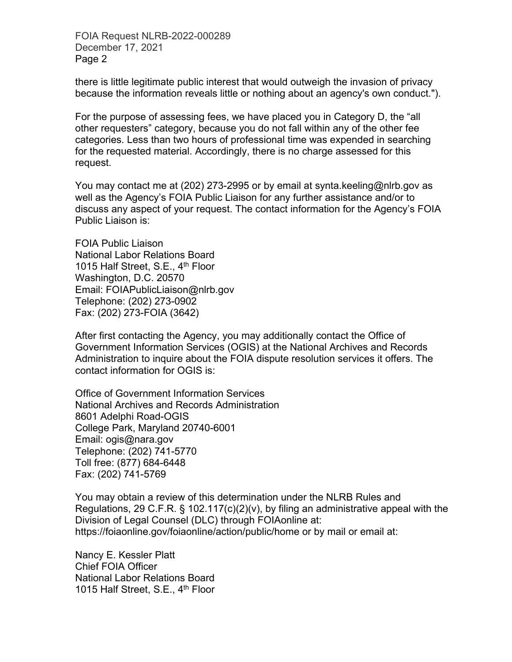FOIA Request NLRB-2022-000289 December 17, 2021 Page 2

there is little legitimate public interest that would outweigh the invasion of privacy because the information reveals little or nothing about an agency's own conduct.").

For the purpose of assessing fees, we have placed you in Category D, the "all other requesters" category, because you do not fall within any of the other fee categories. Less than two hours of professional time was expended in searching for the requested material. Accordingly, there is no charge assessed for this request.

You may contact me at (202) 273-2995 or by email at synta.keeling@nlrb.gov as well as the Agency's FOIA Public Liaison for any further assistance and/or to discuss any aspect of your request. The contact information for the Agency's FOIA Public Liaison is:

FOIA Public Liaison National Labor Relations Board 1015 Half Street, S.E., 4<sup>th</sup> Floor Washington, D.C. 20570 Email: FOIAPublicLiaison@nlrb.gov Telephone: (202) 273-0902 Fax: (202) 273-FOIA (3642)

After first contacting the Agency, you may additionally contact the Office of Government Information Services (OGIS) at the National Archives and Records Administration to inquire about the FOIA dispute resolution services it offers. The contact information for OGIS is:

Office of Government Information Services National Archives and Records Administration 8601 Adelphi Road-OGIS College Park, Maryland 20740-6001 Email: ogis@nara.gov Telephone: (202) 741-5770 Toll free: (877) 684-6448 Fax: (202) 741-5769

You may obtain a review of this determination under the NLRB Rules and Regulations, 29 C.F.R. § 102.117(c)(2)(v), by filing an administrative appeal with the Division of Legal Counsel (DLC) through FOIAonline at: https://foiaonline.gov/foiaonline/action/public/home or by mail or email at:

Nancy E. Kessler Platt Chief FOIA Officer National Labor Relations Board 1015 Half Street, S.E., 4<sup>th</sup> Floor